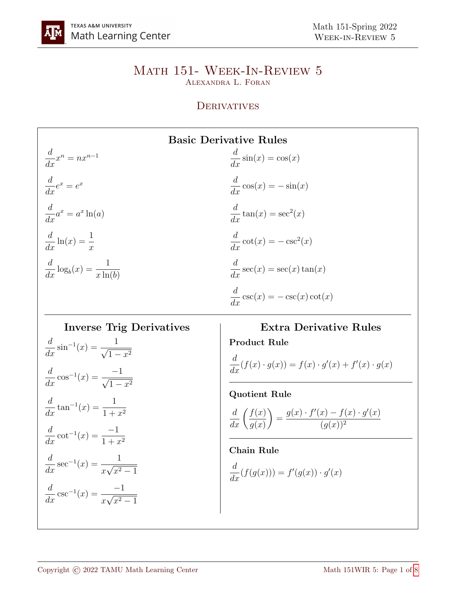#### Math 151- Week-In-Review 5 Alexandra L. Foran

### **DERIVATIVES**

# Basic Derivative Rules

d  $\frac{d}{dx}x^n = nx^{n-1}$ d  $\frac{a}{dx}e^x = e^x$ d  $\frac{a}{dx}a^x = a^x \ln(a)$  $\frac{d}{dx}\ln(x) = \frac{1}{x}$ d  $rac{a}{dx} \log_b$  $(x) = \frac{1}{1}$  $x \ln(b)$ 

$$
\frac{d}{dx}\sin(x) = \cos(x)
$$

$$
\frac{d}{dx}\cos(x) = -\sin(x)
$$

$$
\frac{d}{dx}\tan(x) = \sec^2(x)
$$

$$
\frac{d}{dx}\cot(x) = -\csc^2(x)
$$

$$
\frac{d}{dx}\sec(x) = \sec(x)\tan(x)
$$

$$
\frac{d}{dx}\csc(x) = -\csc(x)\cot(x)
$$

**Inverse Trig Derivatives**  
\n
$$
\frac{d}{dx} \sin^{-1}(x) = \frac{1}{\sqrt{1 - x^2}}
$$
\n
$$
\frac{d}{dx} \cos^{-1}(x) = \frac{-1}{\sqrt{1 - x^2}}
$$
\n
$$
\frac{d}{dx} \tan^{-1}(x) = \frac{1}{1 + x^2}
$$
\n
$$
\frac{d}{dx} \cot^{-1}(x) = \frac{-1}{1 + x^2}
$$
\n
$$
\frac{d}{dx} \sec^{-1}(x) = \frac{1}{x\sqrt{x^2 - 1}}
$$
\n
$$
\frac{d}{dx} \csc^{-1}(x) = \frac{-1}{x\sqrt{x^2 - 1}}
$$

# Extra Derivative Rules Product Rule

$$
\frac{d}{dx}(f(x) \cdot g(x)) = f(x) \cdot g'(x) + f'(x) \cdot g(x)
$$

Quotient Rule

$$
\frac{d}{dx}\left(\frac{f(x)}{g(x)}\right) = \frac{g(x) \cdot f'(x) - f(x) \cdot g'(x)}{(g(x))^2}
$$

## Chain Rule

$$
\frac{d}{dx}(f(g(x))) = f'(g(x)) \cdot g'(x)
$$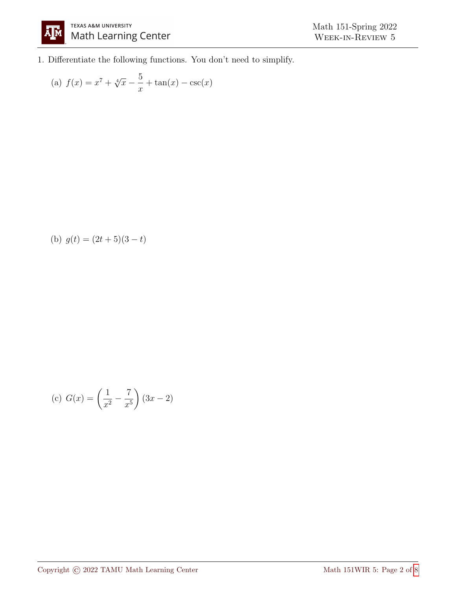

1. Differentiate the following functions. You don't need to simplify.

(a) 
$$
f(x) = x^7 + \sqrt[4]{x} - \frac{5}{x} + \tan(x) - \csc(x)
$$

(b) 
$$
g(t) = (2t+5)(3-t)
$$

(c) 
$$
G(x) = \left(\frac{1}{x^2} - \frac{7}{x^5}\right)(3x - 2)
$$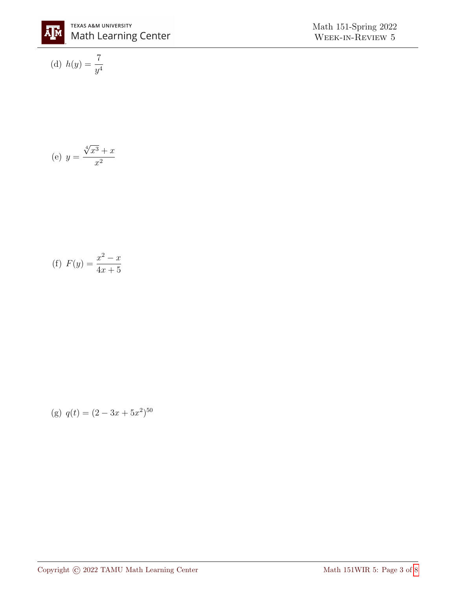

(d) 
$$
h(y) = \frac{7}{y^4}
$$

(e) 
$$
y = \frac{\sqrt[4]{x^3} + x}{x^2}
$$

(f) 
$$
F(y) = \frac{x^2 - x}{4x + 5}
$$

(g) 
$$
q(t) = (2 - 3x + 5x^2)^{50}
$$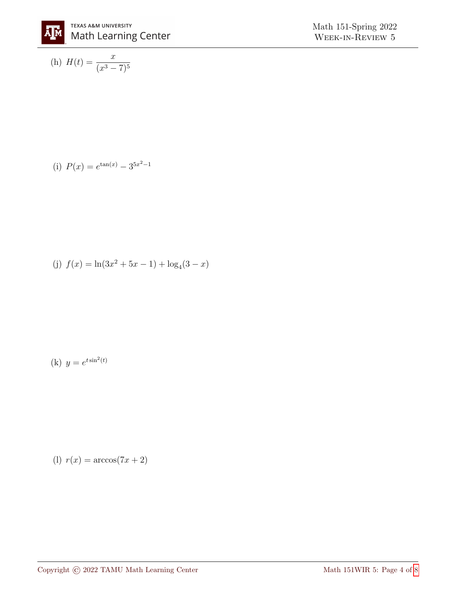

(h) 
$$
H(t) = \frac{x}{(x^3 - 7)^5}
$$

(i) 
$$
P(x) = e^{\tan(x)} - 3^{5x^2 - 1}
$$

(j) 
$$
f(x) = \ln(3x^2 + 5x - 1) + \log_4(3 - x)
$$

(k) 
$$
y = e^{t \sin^2(t)}
$$

$$
(1) r(x) = \arccos(7x + 2)
$$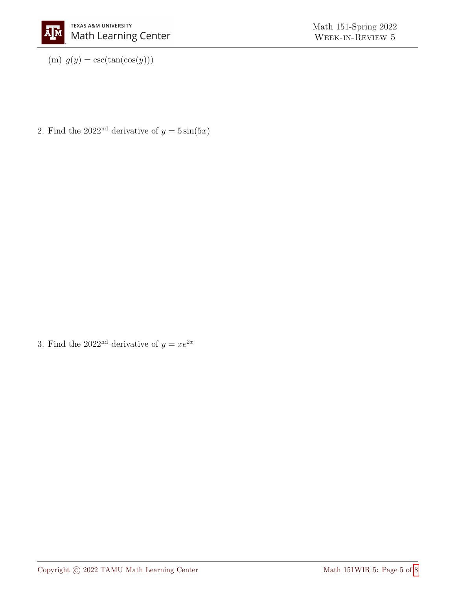(m)  $g(y) = \csc(\tan(\cos(y)))$ 

2. Find the 2022<sup>nd</sup> derivative of  $y = 5 \sin(5x)$ 

3. Find the 2022<sup>nd</sup> derivative of  $y = xe^{2x}$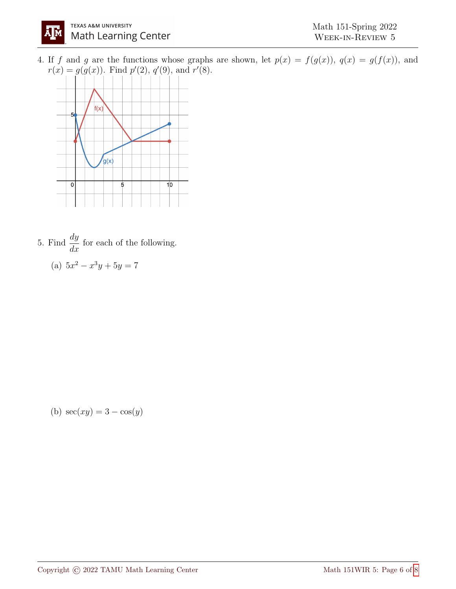

4. If f and g are the functions whose graphs are shown, let  $p(x) = f(g(x))$ ,  $q(x) = g(f(x))$ , and  $r(x) = g(g(x))$ . Find  $p'(2)$ ,  $q'(9)$ , and  $r'(8)$ .



5. Find  $\frac{dy}{dx}$  $\frac{dy}{dx}$  for each of the following. (a)  $5x^2 - x^3y + 5y = 7$ 

(b)  $sec(xy) = 3 - cos(y)$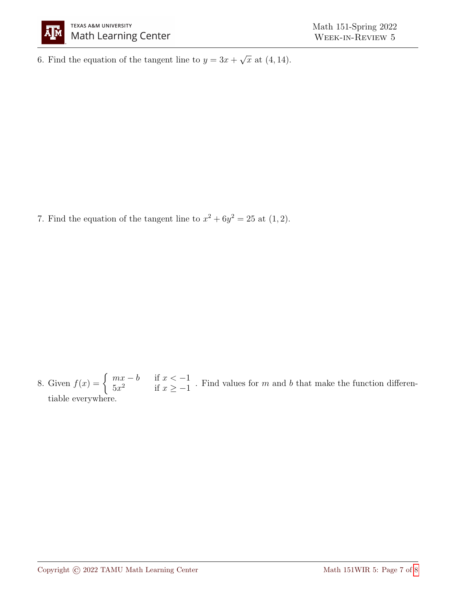

6. Find the equation of the tangent line to  $y = 3x +$ √  $\overline{x}$  at  $(4, 14)$ .

7. Find the equation of the tangent line to  $x^2 + 6y^2 = 25$  at  $(1, 2)$ .

8. Given  $f(x) = \begin{cases} mx - b & \text{if } x < -1 \\ 5x^2 & \text{if } x > -1 \end{cases}$  $5x^2$  if  $x \ge -1$ . Find values for m and b that make the function differentiable everywhere.